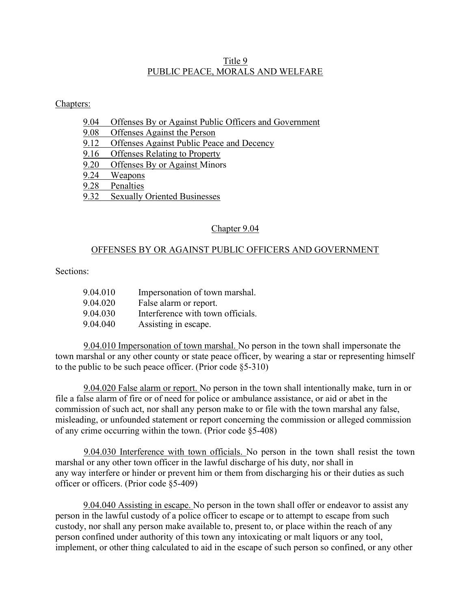## Title 9 PUBLIC PEACE, MORALS AND WELFARE

## Chapters:

- 9.04 Offenses By or Against Public Officers and Government
- 9.08 Offenses Against the Person
- 9.12 Offenses Against Public Peace and Decency
- 9.16 Offenses Relating to Property
- 9.20 Offenses By or Against Minors<br>9.24 Weapons
- Weapons
- 9.28 Penalties
- 9.32 Sexually Oriented Businesses

## Chapter 9.04

## OFFENSES BY OR AGAINST PUBLIC OFFICERS AND GOVERNMENT

## Sections:

| 9.04.010 | Impersonation of town marshal.    |
|----------|-----------------------------------|
| 9.04.020 | False alarm or report.            |
| 9.04.030 | Interference with town officials. |
| 9.04.040 | Assisting in escape.              |

9.04.010 Impersonation of town marshal. No person in the town shall impersonate the town marshal or any other county or state peace officer, by wearing a star or representing himself to the public to be such peace officer. (Prior code §5-310)

9.04.020 False alarm or report. No person in the town shall intentionally make, turn in or file a false alarm of fire or of need for police or ambulance assistance, or aid or abet in the commission of such act, nor shall any person make to or file with the town marshal any false, misleading, or unfounded statement or report concerning the commission or alleged commission of any crime occurring within the town. (Prior code §5-408)

9.04.030 Interference with town officials. No person in the town shall resist the town marshal or any other town officer in the lawful discharge of his duty, nor shall in any way interfere or hinder or prevent him or them from discharging his or their duties as such officer or officers. (Prior code §5-409)

9.04.040 Assisting in escape. No person in the town shall offer or endeavor to assist any person in the lawful custody of a police officer to escape or to attempt to escape from such custody, nor shall any person make available to, present to, or place within the reach of any person confined under authority of this town any intoxicating or malt liquors or any tool, implement, or other thing calculated to aid in the escape of such person so confined, or any other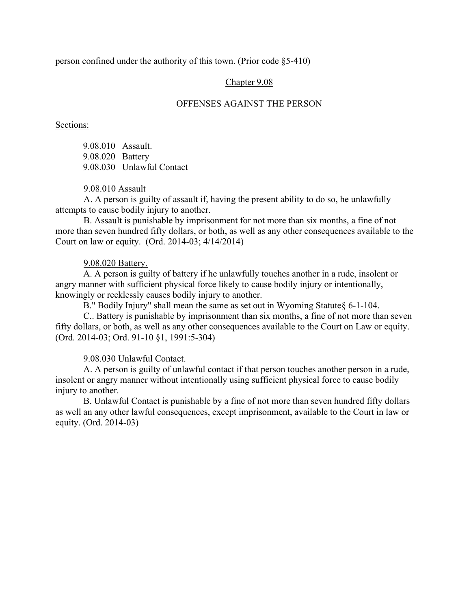person confined under the authority of this town. (Prior code §5-410)

Chapter 9.08

#### OFFENSES AGAINST THE PERSON

Sections:

9.08.010 Assault. 9.08.020 Battery 9.08.030 Unlawful Contact

#### 9.08.010 Assault

A. A person is guilty of assault if, having the present ability to do so, he unlawfully attempts to cause bodily injury to another.

B. Assault is punishable by imprisonment for not more than six months, a fine of not more than seven hundred fifty dollars, or both, as well as any other consequences available to the Court on law or equity. (Ord. 2014-03; 4/14/2014)

#### 9.08.020 Battery.

A. A person is guilty of battery if he unlawfully touches another in a rude, insolent or angry manner with sufficient physical force likely to cause bodily injury or intentionally, knowingly or recklessly causes bodily injury to another.

B." Bodily Injury" shall mean the same as set out in Wyoming Statute§ 6-1-104.

C.. Battery is punishable by imprisonment than six months, a fine of not more than seven fifty dollars, or both, as well as any other consequences available to the Court on Law or equity. (Ord. 2014-03; Ord. 91-10 §1, 1991:5-304)

#### 9.08.030 Unlawful Contact.

A. A person is guilty of unlawful contact if that person touches another person in a rude, insolent or angry manner without intentionally using sufficient physical force to cause bodily injury to another.

B. Unlawful Contact is punishable by a fine of not more than seven hundred fifty dollars as well an any other lawful consequences, except imprisonment, available to the Court in law or equity. (Ord. 2014-03)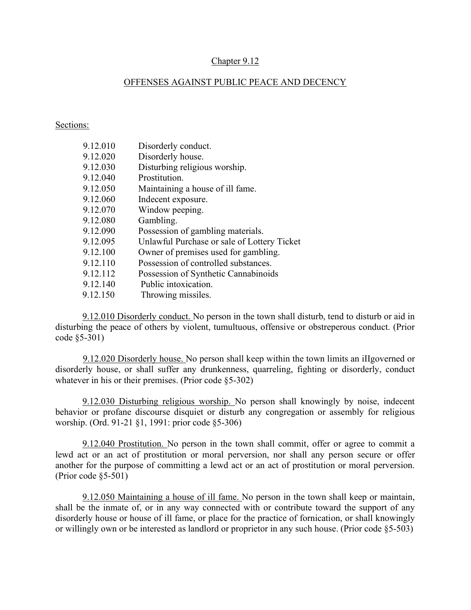## Chapter 9.12

## OFFENSES AGAINST PUBLIC PEACE AND DECENCY

#### Sections:

| Disorderly conduct.                         |
|---------------------------------------------|
| Disorderly house.                           |
| Disturbing religious worship.               |
| Prostitution.                               |
| Maintaining a house of ill fame.            |
| Indecent exposure.                          |
| Window peeping.                             |
| Gambling.                                   |
| Possession of gambling materials.           |
| Unlawful Purchase or sale of Lottery Ticket |
| Owner of premises used for gambling.        |
| Possession of controlled substances.        |
| Possession of Synthetic Cannabinoids        |
| Public intoxication.                        |
| Throwing missiles.                          |
|                                             |

9.12.010 Disorderly conduct. No person in the town shall disturb, tend to disturb or aid in disturbing the peace of others by violent, tumultuous, offensive or obstreperous conduct. (Prior code §5-301)

9.12.020 Disorderly house. No person shall keep within the town limits an iIIgoverned or disorderly house, or shall suffer any drunkenness, quarreling, fighting or disorderly, conduct whatever in his or their premises. (Prior code §5-302)

9.12.030 Disturbing religious worship. No person shall knowingly by noise, indecent behavior or profane discourse disquiet or disturb any congregation or assembly for religious worship. (Ord. 91-21 §1, 1991: prior code §5-306)

9.12.040 Prostitution. No person in the town shall commit, offer or agree to commit a lewd act or an act of prostitution or moral perversion, nor shall any person secure or offer another for the purpose of committing a lewd act or an act of prostitution or moral perversion. (Prior code §5-501)

9.12.050 Maintaining a house of ill fame. No person in the town shall keep or maintain, shall be the inmate of, or in any way connected with or contribute toward the support of any disorderly house or house of ill fame, or place for the practice of fornication, or shall knowingly or willingly own or be interested as landlord or proprietor in any such house. (Prior code §5-503)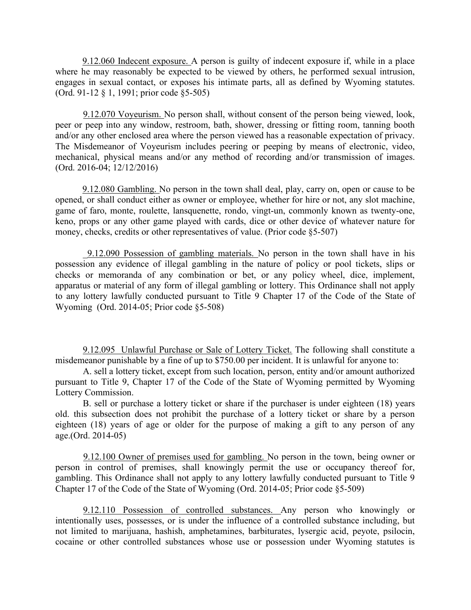9.12.060 Indecent exposure. A person is guilty of indecent exposure if, while in a place where he may reasonably be expected to be viewed by others, he performed sexual intrusion, engages in sexual contact, or exposes his intimate parts, all as defined by Wyoming statutes. (Ord. 91-12 § 1, 1991; prior code §5-505)

9.12.070 Voyeurism. No person shall, without consent of the person being viewed, look, peer or peep into any window, restroom, bath, shower, dressing or fitting room, tanning booth and/or any other enclosed area where the person viewed has a reasonable expectation of privacy. The Misdemeanor of Voyeurism includes peering or peeping by means of electronic, video, mechanical, physical means and/or any method of recording and/or transmission of images. (Ord. 2016-04; 12/12/2016)

9.12.080 Gambling. No person in the town shall deal, play, carry on, open or cause to be opened, or shall conduct either as owner or employee, whether for hire or not, any slot machine, game of faro, monte, roulette, lansquenette, rondo, vingt-un, commonly known as twenty-one, keno, props or any other game played with cards, dice or other device of whatever nature for money, checks, credits or other representatives of value. (Prior code §5-507)

\_9.12.090 Possession of gambling materials. No person in the town shall have in his possession any evidence of illegal gambling in the nature of policy or pool tickets, slips or checks or memoranda of any combination or bet, or any policy wheel, dice, implement, apparatus or material of any form of illegal gambling or lottery. This Ordinance shall not apply to any lottery lawfully conducted pursuant to Title 9 Chapter 17 of the Code of the State of Wyoming (Ord. 2014-05; Prior code §5-508)

9.12.095 Unlawful Purchase or Sale of Lottery Ticket. The following shall constitute a misdemeanor punishable by a fine of up to \$750.00 per incident. It is unlawful for anyone to:

A. sell a lottery ticket, except from such location, person, entity and/or amount authorized pursuant to Title 9, Chapter 17 of the Code of the State of Wyoming permitted by Wyoming Lottery Commission.

B. sell or purchase a lottery ticket or share if the purchaser is under eighteen (18) years old. this subsection does not prohibit the purchase of a lottery ticket or share by a person eighteen (18) years of age or older for the purpose of making a gift to any person of any age.(Ord. 2014-05)

9.12.100 Owner of premises used for gambling. No person in the town, being owner or person in control of premises, shall knowingly permit the use or occupancy thereof for, gambling. This Ordinance shall not apply to any lottery lawfully conducted pursuant to Title 9 Chapter 17 of the Code of the State of Wyoming (Ord. 2014-05; Prior code §5-509)

9.12.110 Possession of controlled substances. Any person who knowingly or intentionally uses, possesses, or is under the influence of a controlled substance including, but not limited to marijuana, hashish, amphetamines, barbiturates, lysergic acid, peyote, psilocin, cocaine or other controlled substances whose use or possession under Wyoming statutes is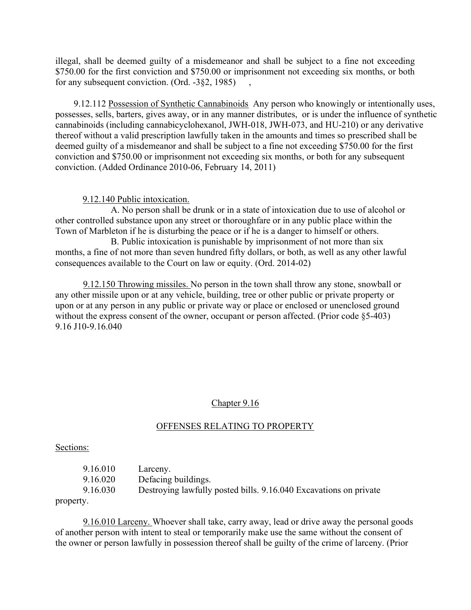illegal, shall be deemed guilty of a misdemeanor and shall be subject to a fine not exceeding \$750.00 for the first conviction and \$750.00 or imprisonment not exceeding six months, or both for any subsequent conviction. (Ord.  $-3§2$ , 1985)

 9.12.112 Possession of Synthetic Cannabinoids Any person who knowingly or intentionally uses, possesses, sells, barters, gives away, or in any manner distributes, or is under the influence of synthetic cannabinoids (including cannabicyclohexanol, JWH-018, JWH-073, and HU-210) or any derivative thereof without a valid prescription lawfully taken in the amounts and times so prescribed shall be deemed guilty of a misdemeanor and shall be subject to a fine not exceeding \$750.00 for the first conviction and \$750.00 or imprisonment not exceeding six months, or both for any subsequent conviction. (Added Ordinance 2010-06, February 14, 2011)

9.12.140 Public intoxication.

 A. No person shall be drunk or in a state of intoxication due to use of alcohol or other controlled substance upon any street or thoroughfare or in any public place within the Town of Marbleton if he is disturbing the peace or if he is a danger to himself or others.

 B. Public intoxication is punishable by imprisonment of not more than six months, a fine of not more than seven hundred fifty dollars, or both, as well as any other lawful consequences available to the Court on law or equity. (Ord. 2014-02)

9.12.150 Throwing missiles. No person in the town shall throw any stone, snowball or any other missile upon or at any vehicle, building, tree or other public or private property or upon or at any person in any public or private way or place or enclosed or unenclosed ground without the express consent of the owner, occupant or person affected. (Prior code §5-403) 9.16 J10-9.16.040

# Chapter 9.16

# OFFENSES RELATING TO PROPERTY

Sections:

| 9.16.010 | Larceny.                                                          |
|----------|-------------------------------------------------------------------|
| 9.16.020 | Defacing buildings.                                               |
| 9.16.030 | Destroying lawfully posted bills. 9.16.040 Excavations on private |
|          |                                                                   |

property.

9.16.010 Larceny. Whoever shall take, carry away, lead or drive away the personal goods of another person with intent to steal or temporarily make use the same without the consent of the owner or person lawfully in possession thereof shall be guilty of the crime of larceny. (Prior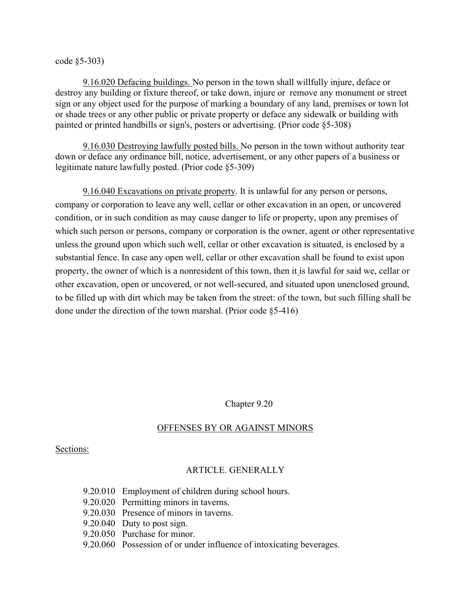code §5-303)

9.16.020 Defacing buildings. No person in the town shall willfully injure, deface or destroy any building or fixture thereof, or take down, injure or remove any monument or street sign or any object used for the purpose of marking a boundary of any land, premises or town lot or shade trees or any other public or private property or deface any sidewalk or building with painted or printed handbills or sign's, posters or advertising. (Prior code §5-308)

9.16.030 Destroying lawfully posted bills. No person in the town without authority tear down or deface any ordinance bill, notice, advertisement, or any other papers of a business or legitimate nature lawfully posted. (Prior code §5-309)

9.16.040 Excavations on private property. It is unlawful for any person or persons, company or corporation to leave any well, cellar or other excavation in an open, or uncovered condition, or in such condition as may cause danger to life or property, upon any premises of which such person or persons, company or corporation is the owner, agent or other representative unless the ground upon which such well, cellar or other excavation is situated, is enclosed by a substantial fence. In case any open well, cellar or other excavation shall be found to exist upon property, the owner of which is a nonresident of this town, then it is lawful for said we, cellar or other excavation, open or uncovered, or not well-secured, and situated upon unenclosed ground, to be filled up with dirt which may be taken from the street: of the town, but such filling shall be done under the direction of the town marshal. (Prior code §5-416)

Chapter 9.20

## OFFENSES BY OR AGAINST MINORS

Sections:

# ARTICLE. GENERALLY

- 9.20.010 Employment of children during school hours.
- 9.20.020 Permitting minors in taverns.
- 9.20.030 Presence of minors in taverns.
- 9.20.040 Duty to post sign.
- 9.20.050 Purchase for minor.
- 9.20.060 Possession of or under influence of intoxicating beverages.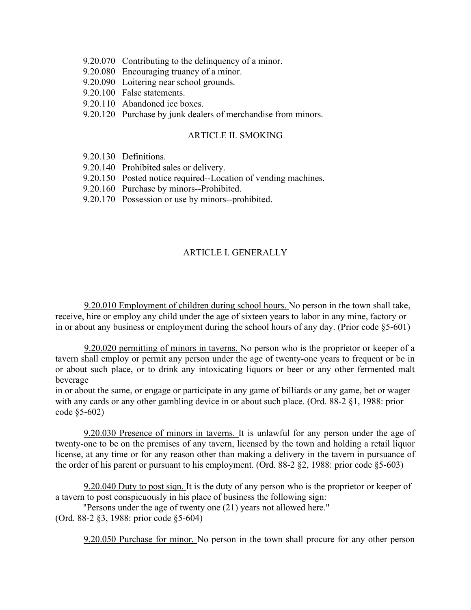- 9.20.070 Contributing to the delinquency of a minor.
- 9.20.080 Encouraging truancy of a minor.
- 9.20.090 Loitering near school grounds.
- 9.20.100 False statements.
- 9.20.110 Abandoned ice boxes.
- 9.20.120 Purchase by junk dealers of merchandise from minors.

## ARTICLE II. SMOKING

- 9.20.130 Definitions.
- 9.20.140 Prohibited sales or delivery.
- 9.20.150 Posted notice required--Location of vending machines.
- 9.20.160 Purchase by minors--Prohibited.
- 9.20.170 Possession or use by minors--prohibited.

## ARTICLE I. GENERALLY

9.20.010 Employment of children during school hours. No person in the town shall take, receive, hire or employ any child under the age of sixteen years to labor in any mine, factory or in or about any business or employment during the school hours of any day. (Prior code §5-601)

9.20.020 permitting of minors in taverns. No person who is the proprietor or keeper of a tavern shall employ or permit any person under the age of twenty-one years to frequent or be in or about such place, or to drink any intoxicating liquors or beer or any other fermented malt beverage

in or about the same, or engage or participate in any game of billiards or any game, bet or wager with any cards or any other gambling device in or about such place. (Ord. 88-2 §1, 1988: prior code §5-602)

9.20.030 Presence of minors in taverns. It is unlawful for any person under the age of twenty-one to be on the premises of any tavern, licensed by the town and holding a retail liquor license, at any time or for any reason other than making a delivery in the tavern in pursuance of the order of his parent or pursuant to his employment. (Ord. 88-2 §2, 1988: prior code §5-603)

9.20.040 Duty to post siqn. It is the duty of any person who is the proprietor or keeper of a tavern to post conspicuously in his place of business the following sign:

"Persons under the age of twenty one (21) years not allowed here." (Ord. 88-2 §3, 1988: prior code §5-604)

9.20.050 Purchase for minor. No person in the town shall procure for any other person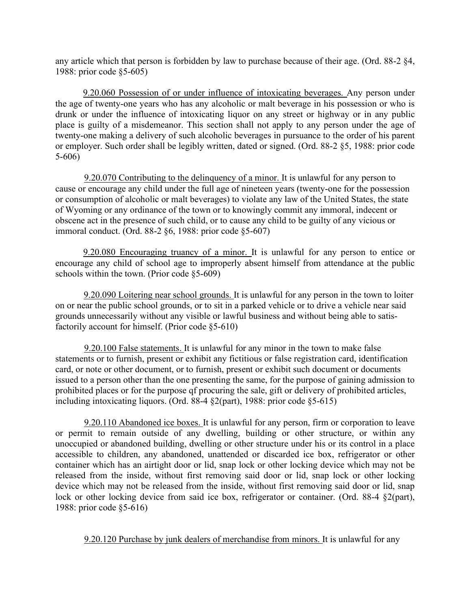any article which that person is forbidden by law to purchase because of their age. (Ord. 88-2 §4, 1988: prior code §5-605)

9.20.060 Possession of or under influence of intoxicating beverages. Any person under the age of twenty-one years who has any alcoholic or malt beverage in his possession or who is drunk or under the influence of intoxicating liquor on any street or highway or in any public place is guilty of a misdemeanor. This section shall not apply to any person under the age of twenty-one making a delivery of such alcoholic beverages in pursuance to the order of his parent or employer. Such order shall be legibly written, dated or signed. (Ord. 88-2 §5, 1988: prior code 5-606)

9.20.070 Contributing to the delinquency of a minor. It is unlawful for any person to cause or encourage any child under the full age of nineteen years (twenty-one for the possession or consumption of alcoholic or malt beverages) to violate any law of the United States, the state of Wyoming or any ordinance of the town or to knowingly commit any immoral, indecent or obscene act in the presence of such child, or to cause any child to be guilty of any vicious or immoral conduct. (Ord. 88-2 §6, 1988: prior code §5-607)

9.20.080 Encouraging truancy of a minor. It is unlawful for any person to entice or encourage any child of school age to improperly absent himself from attendance at the public schools within the town. (Prior code §5-609)

9.20.090 Loitering near school grounds. It is unlawful for any person in the town to loiter on or near the public school grounds, or to sit in a parked vehicle or to drive a vehicle near said grounds unnecessarily without any visible or lawful business and without being able to satisfactorily account for himself. (Prior code §5-610)

9.20.100 False statements. It is unlawful for any minor in the town to make false statements or to furnish, present or exhibit any fictitious or false registration card, identification card, or note or other document, or to furnish, present or exhibit such document or documents issued to a person other than the one presenting the same, for the purpose of gaining admission to prohibited places or for the purpose qf procuring the sale, gift or delivery of prohibited articles, including intoxicating liquors. (Ord. 88-4 §2(part), 1988: prior code §5-615)

9.20.110 Abandoned ice boxes. It is unlawful for any person, firm or corporation to leave or permit to remain outside of any dwelling, building or other structure, or within any unoccupied or abandoned building, dwelling or other structure under his or its control in a place accessible to children, any abandoned, unattended or discarded ice box, refrigerator or other container which has an airtight door or lid, snap lock or other locking device which may not be released from the inside, without first removing said door or lid, snap lock or other locking device which may not be released from the inside, without first removing said door or lid, snap lock or other locking device from said ice box, refrigerator or container. (Ord. 88-4 §2(part), 1988: prior code §5-616)

9.20.120 Purchase by junk dealers of merchandise from minors. It is unlawful for any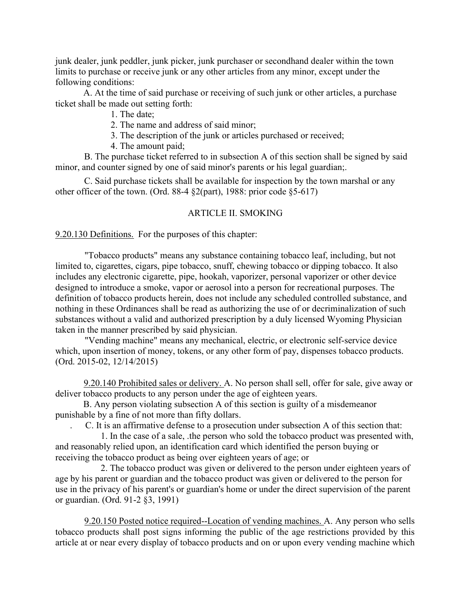junk dealer, junk peddler, junk picker, junk purchaser or secondhand dealer within the town limits to purchase or receive junk or any other articles from any minor, except under the following conditions:

A. At the time of said purchase or receiving of such junk or other articles, a purchase ticket shall be made out setting forth:

1. The date;

2. The name and address of said minor;

3. The description of the junk or articles purchased or received;

4. The amount paid;

B. The purchase ticket referred to in subsection A of this section shall be signed by said minor, and counter signed by one of said minor's parents or his legal guardian;.

C. Said purchase tickets shall be available for inspection by the town marshal or any other officer of the town. (Ord. 88-4 §2(part), 1988: prior code §5-617)

## ARTICLE II. SMOKING

9.20.130 Definitions. For the purposes of this chapter:

"Tobacco products" means any substance containing tobacco leaf, including, but not limited to, cigarettes, cigars, pipe tobacco, snuff, chewing tobacco or dipping tobacco. It also includes any electronic cigarette, pipe, hookah, vaporizer, personal vaporizer or other device designed to introduce a smoke, vapor or aerosol into a person for recreational purposes. The definition of tobacco products herein, does not include any scheduled controlled substance, and nothing in these Ordinances shall be read as authorizing the use of or decriminalization of such substances without a valid and authorized prescription by a duly licensed Wyoming Physician taken in the manner prescribed by said physician.

"Vending machine" means any mechanical, electric, or electronic self-service device which, upon insertion of money, tokens, or any other form of pay, dispenses tobacco products. (Ord. 2015-02, 12/14/2015)

9.20.140 Prohibited sales or delivery. A. No person shall sell, offer for sale, give away or deliver tobacco products to any person under the age of eighteen years.

B. Any person violating subsection A of this section is guilty of a misdemeanor punishable by a fine of not more than fifty dollars.

. C. It is an affirmative defense to a prosecution under subsection A of this section that:

1. In the case of a sale, .the person who sold the tobacco product was presented with, and reasonably relied upon, an identification card which identified the person buying or receiving the tobacco product as being over eighteen years of age; or

2. The tobacco product was given or delivered to the person under eighteen years of age by his parent or guardian and the tobacco product was given or delivered to the person for use in the privacy of his parent's or guardian's home or under the direct supervision of the parent or guardian. (Ord. 91-2 §3, 1991)

9.20.150 Posted notice required--Location of vending machines. A. Any person who sells tobacco products shall post signs informing the public of the age restrictions provided by this article at or near every display of tobacco products and on or upon every vending machine which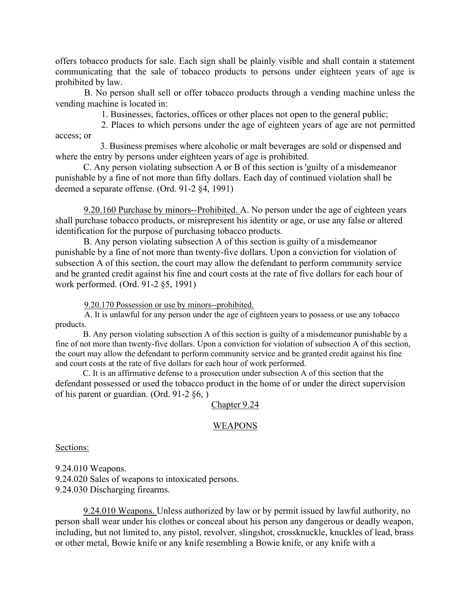offers tobacco products for sale. Each sign shall be plainly visible and shall contain a statement communicating that the sale of tobacco products to persons under eighteen years of age is prohibited by law.

 B. No person shall sell or offer tobacco products through a vending machine unless the vending machine is located in:

1. Businesses, factories, offices or other places not open to the general public;

 2. Places to which persons under the age of eighteen years of age are not permitted access; or

3. Business premises where alcoholic or malt beverages are sold or dispensed and where the entry by persons under eighteen years of age is prohibited.

C. Any person violating subsection A or B of this section is 'guilty of a misdemeanor punishable by a fine of not more than fifty dollars. Each day of continued violation shall be deemed a separate offense. (Ord. 91-2 §4, 1991)

9.20.160 Purchase by minors--Prohibited. A. No person under the age of eighteen years shall purchase tobacco products, or misrepresent his identity or age, or use any false or altered identification for the purpose of purchasing tobacco products.

B. Any person violating subsection A of this section is guilty of a misdemeanor punishable by a fine of not more than twenty-five dollars. Upon a conviction for violation of subsection A of this section, the court may allow the defendant to perform community service and be granted credit against his fine and court costs at the rate of five dollars for each hour of work performed. (Ord. 91-2 §5, 1991)

9.20.170 Possession or use by minors--prohibited.

 A. It is unlawful for any person under the age of eighteen years to possess or use any tobacco products.

B. Any person violating subsection A of this section is guilty of a misdemeanor punishable by a fine of not more than twenty-five dollars. Upon a conviction for violation of subsection A of this section, the court may allow the defendant to perform community service and be granted credit against his fine and court costs at the rate of five dollars for each hour of work performed.

C. It is an affirmative defense to a prosecution under subsection A of this section that the defendant possessed or used the tobacco product in the home of or under the direct supervision of his parent or guardian. (Ord. 91-2 §6, )

#### Chapter 9.24

#### WEAPONS

Sections:

9.24.010 Weapons. 9.24.020 Sales of weapons to intoxicated persons. 9.24.030 Discharging firearms.

9.24.010 Weapons. Unless authorized by law or by permit issued by lawful authority, no person shall wear under his clothes or conceal about his person any dangerous or deadly weapon, including, but not limited to, any pistol, revolver, slingshot, crossknuckle, knuckles of lead, brass or other metal, Bowie knife or any knife resembling a Bowie knife, or any knife with a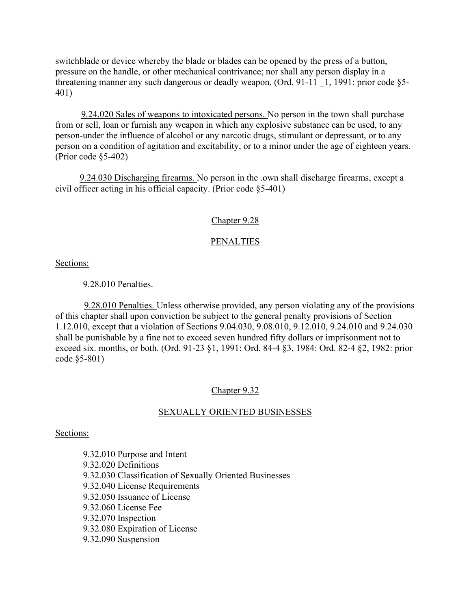switchblade or device whereby the blade or blades can be opened by the press of a button, pressure on the handle, or other mechanical contrivance; nor shall any person display in a threatening manner any such dangerous or deadly weapon. (Ord. 91-11 \_1, 1991: prior code §5- 401)

9.24.020 Sales of weapons to intoxicated persons. No person in the town shall purchase from or sell, loan or furnish any weapon in which any explosive substance can be used, to any person-under the influence of alcohol or any narcotic drugs, stimulant or depressant, or to any person on a condition of agitation and excitability, or to a minor under the age of eighteen years. (Prior code §5-402)

9.24.030 Discharging firearms. No person in the .own shall discharge firearms, except a civil officer acting in his official capacity. (Prior code §5-401)

# Chapter 9.28

# PENALTIES

Sections:

9.28.010 Penalties.

9.28.010 Penalties. Unless otherwise provided, any person violating any of the provisions of this chapter shall upon conviction be subject to the general penalty provisions of Section 1.12.010, except that a violation of Sections 9.04.030, 9.08.010, 9.12.010, 9.24.010 and 9.24.030 shall be punishable by a fine not to exceed seven hundred fifty dollars or imprisonment not to exceed six. months, or both. (Ord. 91-23 §1, 1991: Ord. 84-4 §3, 1984: Ord. 82-4 §2, 1982: prior code §5-801)

# Chapter 9.32

# SEXUALLY ORIENTED BUSINESSES

## Sections:

9.32.010 Purpose and Intent 9.32.020 Definitions 9.32.030 Classification of Sexually Oriented Businesses 9.32.040 License Requirements 9.32.050 Issuance of License 9.32.060 License Fee 9.32.070 Inspection 9.32.080 Expiration of License 9.32.090 Suspension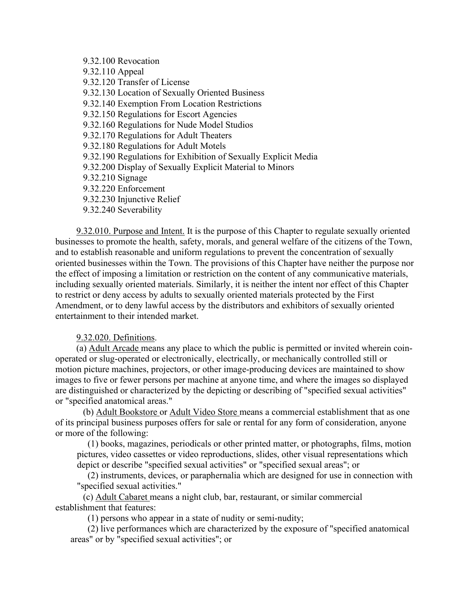9.32.100 Revocation 9.32.110 Appeal 9.32.120 Transfer of License 9.32.130 Location of Sexually Oriented Business 9.32.140 Exemption From Location Restrictions 9.32.150 Regulations for Escort Agencies 9.32.160 Regulations for Nude Model Studios 9.32.170 Regulations for Adult Theaters 9.32.180 Regulations for Adult Motels 9.32.190 Regulations for Exhibition of Sexually Explicit Media 9.32.200 Display of Sexually Explicit Material to Minors 9.32.210 Signage 9.32.220 Enforcement 9.32.230 Injunctive Relief 9.32.240 Severability

9.32.010. Purpose and Intent. It is the purpose of this Chapter to regulate sexually oriented businesses to promote the health, safety, morals, and general welfare of the citizens of the Town, and to establish reasonable and uniform regulations to prevent the concentration of sexually oriented businesses within the Town. The provisions of this Chapter have neither the purpose nor the effect of imposing a limitation or restriction on the content of any communicative materials, including sexually oriented materials. Similarly, it is neither the intent nor effect of this Chapter to restrict or deny access by adults to sexually oriented materials protected by the First Amendment, or to deny lawful access by the distributors and exhibitors of sexually oriented entertainment to their intended market.

#### 9.32.020. Definitions.

(a) Adult Arcade means any place to which the public is permitted or invited wherein coinoperated or slug-operated or electronically, electrically, or mechanically controlled still or motion picture machines, projectors, or other image-producing devices are maintained to show images to five or fewer persons per machine at anyone time, and where the images so displayed are distinguished or characterized by the depicting or describing of "specified sexual activities" or "specified anatomical areas."

(b) Adult Bookstore or Adult Video Store means a commercial establishment that as one of its principal business purposes offers for sale or rental for any form of consideration, anyone or more of the following:

(1) books, magazines, periodicals or other printed matter, or photographs, films, motion pictures, video cassettes or video reproductions, slides, other visual representations which depict or describe "specified sexual activities" or "specified sexual areas"; or

(2) instruments, devices, or paraphernalia which are designed for use in connection with "specified sexual activities."

(c) Adult Cabaret means a night club, bar, restaurant, or similar commercial establishment that features:

(1) persons who appear in a state of nudity or semi-nudity;

 (2) live performances which are characterized by the exposure of "specified anatomical areas" or by "specified sexual activities"; or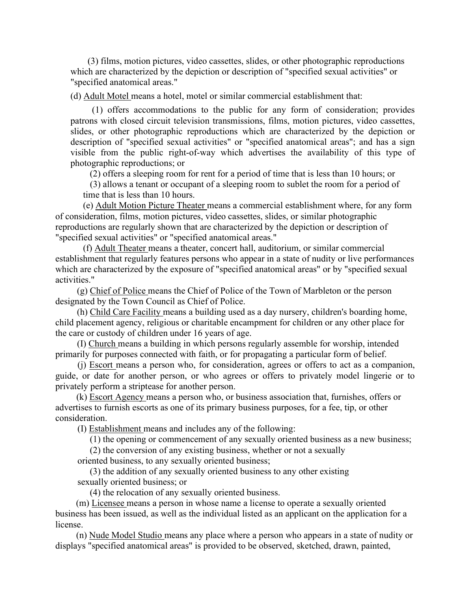(3) films, motion pictures, video cassettes, slides, or other photographic reproductions which are characterized by the depiction or description of "specified sexual activities" or "specified anatomical areas."

(d) Adult Motel means a hotel, motel or similar commercial establishment that:

 (1) offers accommodations to the public for any form of consideration; provides patrons with closed circuit television transmissions, films, motion pictures, video cassettes, slides, or other photographic reproductions which are characterized by the depiction or description of "specified sexual activities" or "specified anatomical areas"; and has a sign visible from the public right-of-way which advertises the availability of this type of photographic reproductions; or

(2) offers a sleeping room for rent for a period of time that is less than 10 hours; or

(3) allows a tenant or occupant of a sleeping room to sublet the room for a period of time that is less than 10 hours.

(e) Adult Motion Picture Theater means a commercial establishment where, for any form of consideration, films, motion pictures, video cassettes, slides, or similar photographic reproductions are regularly shown that are characterized by the depiction or description of "specified sexual activities" or "specified anatomical areas."

(f) Adult Theater means a theater, concert hall, auditorium, or similar commercial establishment that regularly features persons who appear in a state of nudity or live performances which are characterized by the exposure of "specified anatomical areas" or by "specified sexual activities."

(g) Chief of Police means the Chief of Police of the Town of Marbleton or the person designated by the Town Council as Chief of Police.

(h) Child Care Facility means a building used as a day nursery, children's boarding home, child placement agency, religious or charitable encampment for children or any other place for the care or custody of children under 16 years of age.

(I) Church means a building in which persons regularly assemble for worship, intended primarily for purposes connected with faith, or for propagating a particular form of belief.

 (j) Escort means a person who, for consideration, agrees or offers to act as a companion, guide, or date for another person, or who agrees or offers to privately model lingerie or to privately perform a striptease for another person.

(k) Escort Agency means a person who, or business association that, furnishes, offers or advertises to furnish escorts as one of its primary business purposes, for a fee, tip, or other consideration.

(I) Establishment means and includes any of the following:

(1) the opening or commencement of any sexually oriented business as a new business;

(2) the conversion of any existing business, whether or not a sexually

oriented business, to any sexually oriented business;

 (3) the addition of any sexually oriented business to any other existing sexually oriented business; or

(4) the relocation of any sexually oriented business.

(m) Licensee means a person in whose name a license to operate a sexually oriented business has been issued, as well as the individual listed as an applicant on the application for a license.

(n) Nude Model Studio means any place where a person who appears in a state of nudity or displays "specified anatomical areas" is provided to be observed, sketched, drawn, painted,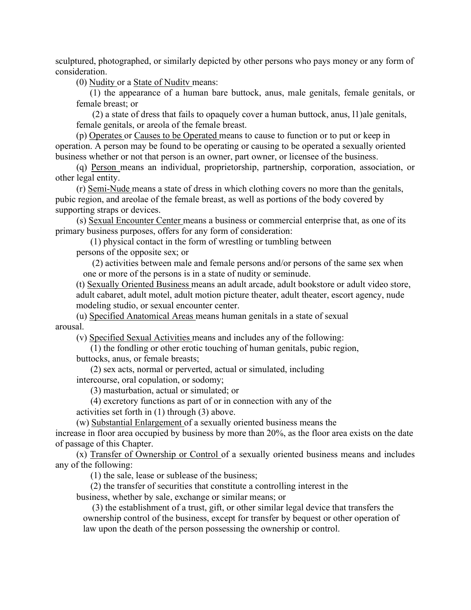sculptured, photographed, or similarly depicted by other persons who pays money or any form of consideration.

(0) Nudity or a State of Nuditv means:

 (1) the appearance of a human bare buttock, anus, male genitals, female genitals, or female breast; or

 (2) a state of dress that fails to opaquely cover a human buttock, anus, l1)ale genitals, female genitals, or areola of the female breast.

(p) Operates or Causes to be Operated means to cause to function or to put or keep in operation. A person may be found to be operating or causing to be operated a sexually oriented business whether or not that person is an owner, part owner, or licensee of the business.

 (q) Person means an individual, proprietorship, partnership, corporation, association, or other legal entity.

(r) Semi-Nude means a state of dress in which clothing covers no more than the genitals, pubic region, and areolae of the female breast, as well as portions of the body covered by supporting straps or devices.

(s) Sexual Encounter Center means a business or commercial enterprise that, as one of its primary business purposes, offers for any form of consideration:

 (1) physical contact in the form of wrestling or tumbling between persons of the opposite sex; or

 (2) activities between male and female persons and/or persons of the same sex when one or more of the persons is in a state of nudity or seminude.

(t) Sexually Oriented Business means an adult arcade, adult bookstore or adult video store, adult cabaret, adult motel, adult motion picture theater, adult theater, escort agency, nude modeling studio, or sexual encounter center.

 (u) Specified Anatomical Areas means human genitals in a state of sexual arousal.

(v) Specified Sexual Activities means and includes any of the following:

 (1) the fondling or other erotic touching of human genitals, pubic region, buttocks, anus, or female breasts;

 (2) sex acts, normal or perverted, actual or simulated, including intercourse, oral copulation, or sodomy;

(3) masturbation, actual or simulated; or

 (4) excretory functions as part of or in connection with any of the activities set forth in (1) through (3) above.

(w) Substantial Enlargement of a sexually oriented business means the

increase in floor area occupied by business by more than 20%, as the floor area exists on the date of passage of this Chapter.

 (x) Transfer of Ownership or Control of a sexually oriented business means and includes any of the following:

(1) the sale, lease or sublease of the business;

 (2) the transfer of securities that constitute a controlling interest in the business, whether by sale, exchange or similar means; or

 (3) the establishment of a trust, gift, or other similar legal device that transfers the ownership control of the business, except for transfer by bequest or other operation of law upon the death of the person possessing the ownership or control.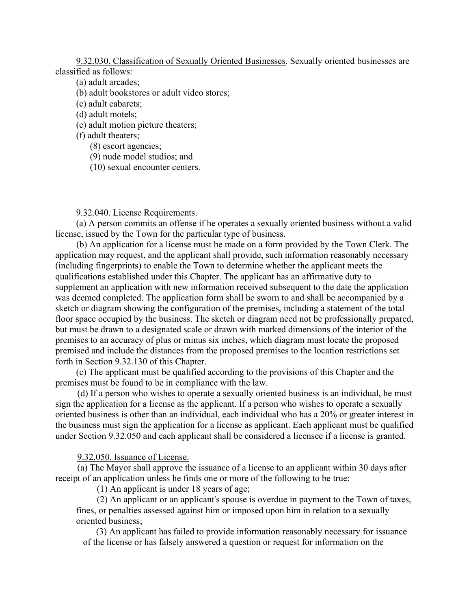9.32.030. Classification of Sexually Oriented Businesses. Sexually oriented businesses are classified as follows:

- (a) adult arcades;
- (b) adult bookstores or adult video stores;
- (c) adult cabarets;
- (d) adult motels;
- (e) adult motion picture theaters;
- (f) adult theaters;
	- (8) escort agencies;
	- (9) nude model studios; and
	- (10) sexual encounter centers.

9.32.040. License Requirements.

(a) A person commits an offense if he operates a sexually oriented business without a valid license, issued by the Town for the particular type of business.

(b) An application for a license must be made on a form provided by the Town Clerk. The application may request, and the applicant shall provide, such information reasonably necessary (including fingerprints) to enable the Town to determine whether the applicant meets the qualifications established under this Chapter. The applicant has an affirmative duty to supplement an application with new information received subsequent to the date the application was deemed completed. The application form shall be sworn to and shall be accompanied by a sketch or diagram showing the configuration of the premises, including a statement of the total floor space occupied by the business. The sketch or diagram need not be professionally prepared, but must be drawn to a designated scale or drawn with marked dimensions of the interior of the premises to an accuracy of plus or minus six inches, which diagram must locate the proposed premised and include the distances from the proposed premises to the location restrictions set forth in Section 9.32.130 of this Chapter.

(c) The applicant must be qualified according to the provisions of this Chapter and the premises must be found to be in compliance with the law.

(d) If a person who wishes to operate a sexually oriented business is an individual, he must sign the application for a license as the applicant. If a person who wishes to operate a sexually oriented business is other than an individual, each individual who has a 20% or greater interest in the business must sign the application for a license as applicant. Each applicant must be qualified under Section 9.32.050 and each applicant shall be considered a licensee if a license is granted.

#### 9.32.050. Issuance of License.

(a) The Mayor shall approve the issuance of a license to an applicant within 30 days after receipt of an application unless he finds one or more of the following to be true:

(1) An applicant is under 18 years of age;

(2) An applicant or an applicant's spouse is overdue in payment to the Town of taxes, fines, or penalties assessed against him or imposed upon him in relation to a sexually oriented business;

(3) An applicant has failed to provide information reasonably necessary for issuance of the license or has falsely answered a question or request for information on the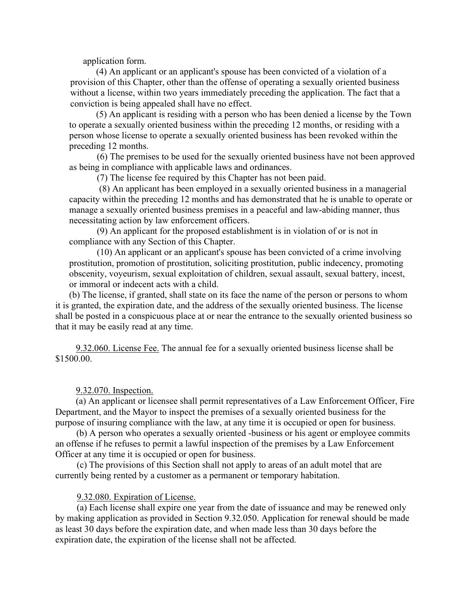application form.

(4) An applicant or an applicant's spouse has been convicted of a violation of a provision of this Chapter, other than the offense of operating a sexually oriented business without a license, within two years immediately preceding the application. The fact that a conviction is being appealed shall have no effect.

(5) An applicant is residing with a person who has been denied a license by the Town to operate a sexually oriented business within the preceding 12 months, or residing with a person whose license to operate a sexually oriented business has been revoked within the preceding 12 months.

 (6) The premises to be used for the sexually oriented business have not been approved as being in compliance with applicable laws and ordinances.

(7) The license fee required by this Chapter has not been paid.

 (8) An applicant has been employed in a sexually oriented business in a managerial capacity within the preceding 12 months and has demonstrated that he is unable to operate or manage a sexually oriented business premises in a peaceful and law-abiding manner, thus necessitating action by law enforcement officers.

(9) An applicant for the proposed establishment is in violation of or is not in compliance with any Section of this Chapter.

(10) An applicant or an applicant's spouse has been convicted of a crime involving prostitution, promotion of prostitution, soliciting prostitution, public indecency, promoting obscenity, voyeurism, sexual exploitation of children, sexual assault, sexual battery, incest, or immoral or indecent acts with a child.

(b) The license, if granted, shall state on its face the name of the person or persons to whom it is granted, the expiration date, and the address of the sexually oriented business. The license shall be posted in a conspicuous place at or near the entrance to the sexually oriented business so that it may be easily read at any time.

9.32.060. License Fee. The annual fee for a sexually oriented business license shall be \$1500.00.

9.32.070. Inspection.

(a) An applicant or licensee shall permit representatives of a Law Enforcement Officer, Fire Department, and the Mayor to inspect the premises of a sexually oriented business for the purpose of insuring compliance with the law, at any time it is occupied or open for business.

(b) A person who operates a sexually oriented -business or his agent or employee commits an offense if he refuses to permit a lawful inspection of the premises by a Law Enforcement Officer at any time it is occupied or open for business.

(c) The provisions of this Section shall not apply to areas of an adult motel that are currently being rented by a customer as a permanent or temporary habitation.

#### 9.32.080. Expiration of License.

(a) Each license shall expire one year from the date of issuance and may be renewed only by making application as provided in Section 9.32.050. Application for renewal should be made as least 30 days before the expiration date, and when made less than 30 days before the expiration date, the expiration of the license shall not be affected.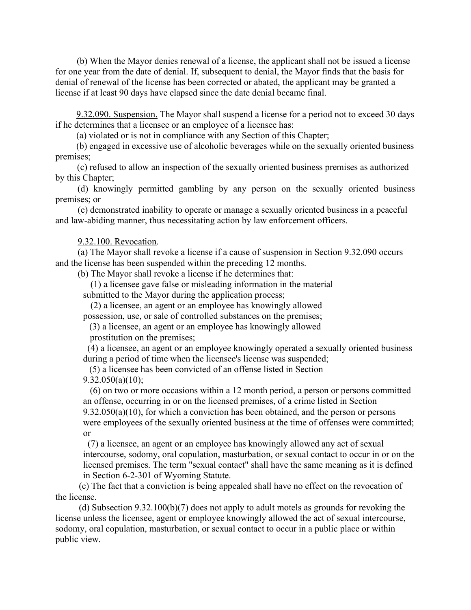(b) When the Mayor denies renewal of a license, the applicant shall not be issued a license for one year from the date of denial. If, subsequent to denial, the Mayor finds that the basis for denial of renewal of the license has been corrected or abated, the applicant may be granted a license if at least 90 days have elapsed since the date denial became final.

9.32.090. Suspension. The Mayor shall suspend a license for a period not to exceed 30 days if he determines that a licensee or an employee of a licensee has:

(a) violated or is not in compliance with any Section of this Chapter;

(b) engaged in excessive use of alcoholic beverages while on the sexually oriented business premises;

(c) refused to allow an inspection of the sexually oriented business premises as authorized by this Chapter;

 (d) knowingly permitted gambling by any person on the sexually oriented business premises; or

(e) demonstrated inability to operate or manage a sexually oriented business in a peaceful and law-abiding manner, thus necessitating action by law enforcement officers.

#### 9.32.100. Revocation.

(a) The Mayor shall revoke a license if a cause of suspension in Section 9.32.090 occurs and the license has been suspended within the preceding 12 months.

(b) The Mayor shall revoke a license if he determines that:

(1) a licensee gave false or misleading information in the material

submitted to the Mayor during the application process;

 (2) a licensee, an agent or an employee has knowingly allowed possession, use, or sale of controlled substances on the premises;

(3) a licensee, an agent or an employee has knowingly allowed

prostitution on the premises;

(4) a licensee, an agent or an employee knowingly operated a sexually oriented business during a period of time when the licensee's license was suspended;

(5) a licensee has been convicted of an offense listed in Section

 $9.32.050(a)(10);$ 

(6) on two or more occasions within a 12 month period, a person or persons committed an offense, occurring in or on the licensed premises, of a crime listed in Section  $9.32.050(a)(10)$ , for which a conviction has been obtained, and the person or persons were employees of the sexually oriented business at the time of offenses were committed; or

(7) a licensee, an agent or an employee has knowingly allowed any act of sexual intercourse, sodomy, oral copulation, masturbation, or sexual contact to occur in or on the licensed premises. The term "sexual contact" shall have the same meaning as it is defined in Section 6-2-301 of Wyoming Statute.

 (c) The fact that a conviction is being appealed shall have no effect on the revocation of the license.

 (d) Subsection 9.32.100(b)(7) does not apply to adult motels as grounds for revoking the license unless the licensee, agent or employee knowingly allowed the act of sexual intercourse, sodomy, oral copulation, masturbation, or sexual contact to occur in a public place or within public view.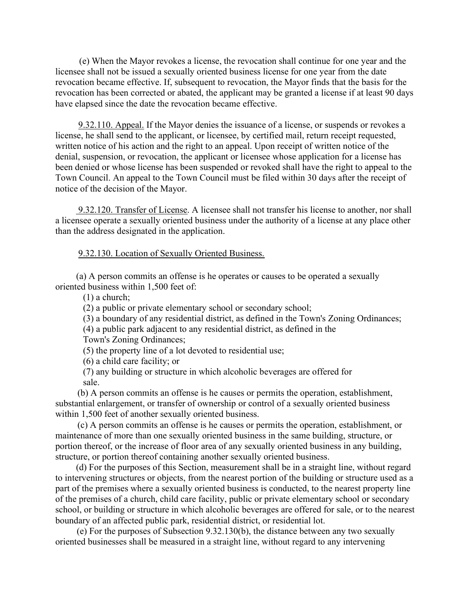(e) When the Mayor revokes a license, the revocation shall continue for one year and the licensee shall not be issued a sexually oriented business license for one year from the date revocation became effective. If, subsequent to revocation, the Mayor finds that the basis for the revocation has been corrected or abated, the applicant may be granted a license if at least 90 days have elapsed since the date the revocation became effective.

 9.32.110. Appeal. If the Mayor denies the issuance of a license, or suspends or revokes a license, he shall send to the applicant, or licensee, by certified mail, return receipt requested, written notice of his action and the right to an appeal. Upon receipt of written notice of the denial, suspension, or revocation, the applicant or licensee whose application for a license has been denied or whose license has been suspended or revoked shall have the right to appeal to the Town Council. An appeal to the Town Council must be filed within 30 days after the receipt of notice of the decision of the Mayor.

 9.32.120. Transfer of License. A licensee shall not transfer his license to another, nor shall a licensee operate a sexually oriented business under the authority of a license at any place other than the address designated in the application.

#### 9.32.130. Location of Sexually Oriented Business.

(a) A person commits an offense is he operates or causes to be operated a sexually oriented business within 1,500 feet of:

(1) a church;

(2) a public or private elementary school or secondary school;

(3) a boundary of any residential district, as defined in the Town's Zoning Ordinances;

(4) a public park adjacent to any residential district, as defined in the

Town's Zoning Ordinances;

(5) the property line of a lot devoted to residential use;

(6) a child care facility; or

 (7) any building or structure in which alcoholic beverages are offered for sale.

(b) A person commits an offense is he causes or permits the operation, establishment, substantial enlargement, or transfer of ownership or control of a sexually oriented business within 1,500 feet of another sexually oriented business.

(c) A person commits an offense is he causes or permits the operation, establishment, or maintenance of more than one sexually oriented business in the same building, structure, or portion thereof, or the increase of floor area of any sexually oriented business in any building, structure, or portion thereof containing another sexually oriented business.

(d) For the purposes of this Section, measurement shall be in a straight line, without regard to intervening structures or objects, from the nearest portion of the building or structure used as a part of the premises where a sexually oriented business is conducted, to the nearest property line of the premises of a church, child care facility, public or private elementary school or secondary school, or building or structure in which alcoholic beverages are offered for sale, or to the nearest boundary of an affected public park, residential district, or residential lot.

(e) For the purposes of Subsection 9.32.130(b), the distance between any two sexually oriented businesses shall be measured in a straight line, without regard to any intervening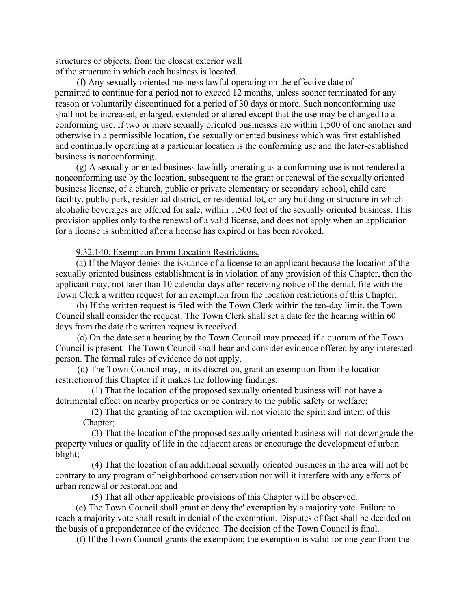structures or objects, from the closest exterior wall of the structure in which each business is located.

(f) Any sexually oriented business lawful operating on the effective date of permitted to continue for a period not to exceed 12 months, unless sooner terminated for any reason or voluntarily discontinued for a period of 30 days or more. Such nonconforming use shall not be increased, enlarged, extended or altered except that the use may be changed to a conforming use. If two or more sexually oriented businesses are within 1,500 of one another and otherwise in a permissible location, the sexually oriented business which was first established and continually operating at a particular location is the conforming use and the later-established business is nonconforming.

(g) A sexually oriented business lawfully operating as a conforming use is not rendered a nonconforming use by the location, subsequent to the grant or renewal of the sexually oriented business license, of a church, public or private elementary or secondary school, child care facility, public park, residential district, or residential lot, or any building or structure in which alcoholic beverages are offered for sale, within 1,500 feet of the sexually oriented business. This provision applies only to the renewal of a valid license, and does not apply when an application for a license is submitted after a license has expired or has been revoked.

9.32.140. Exemption From Location Restrictions.

(a) If the Mayor denies the issuance of a license to an applicant because the location of the sexually oriented business establishment is in violation of any provision of this Chapter, then the applicant may, not later than 10 calendar days after receiving notice of the denial, file with the Town Clerk a written request for an exemption from the location restrictions of this Chapter.

(b) If the written request is filed with the Town Clerk within the ten-day limit, the Town Council shall consider the request. The Town Clerk shall set a date for the hearing within 60 days from the date the written request is received.

(c) On the date set a hearing by the Town Council may proceed if a quorum of the Town Council is present. The Town Council shall hear and consider evidence offered by any interested person. The formal rules of evidence do not apply.

 (d) The Town Council may, in its discretion, grant an exemption from the location restriction of this Chapter if it makes the following findings:

 (1) That the location of the proposed sexually oriented business will not have a detrimental effect on nearby properties or be contrary to the public safety or welfare;

 (2) That the granting of the exemption will not violate the spirit and intent of this Chapter;

 (3) That the location of the proposed sexually oriented business will not downgrade the property values or quality of life in the adjacent areas or encourage the development of urban blight;

 (4) That the location of an additional sexually oriented business in the area will not be contrary to any program of neighborhood conservation nor will it interfere with any efforts of urban renewal or restoration; and

(5) That all other applicable provisions of this Chapter will be observed.

(e) The Town Council shall grant or deny the' exemption by a majority vote. Failure to reach a majority vote shall result in denial of the exemption. Disputes of fact shall be decided on the basis of a preponderance of the evidence. The decision of the Town Council is final.

(f) If the Town Council grants the exemption; the exemption is valid for one year from the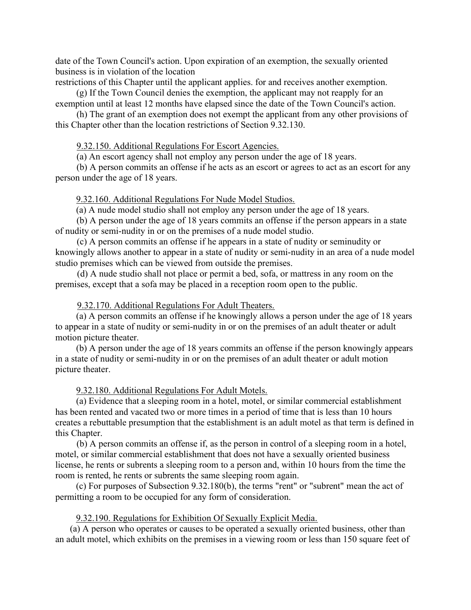date of the Town Council's action. Upon expiration of an exemption, the sexually oriented business is in violation of the location

restrictions of this Chapter until the applicant applies. for and receives another exemption.

(g) If the Town Council denies the exemption, the applicant may not reapply for an exemption until at least 12 months have elapsed since the date of the Town Council's action.

(h) The grant of an exemption does not exempt the applicant from any other provisions of this Chapter other than the location restrictions of Section 9.32.130.

9.32.150. Additional Regulations For Escort Agencies.

(a) An escort agency shall not employ any person under the age of 18 years.

 (b) A person commits an offense if he acts as an escort or agrees to act as an escort for any person under the age of 18 years.

9.32.160. Additional Regulations For Nude Model Studios.

(a) A nude model studio shall not employ any person under the age of 18 years.

(b) A person under the age of 18 years commits an offense if the person appears in a state of nudity or semi-nudity in or on the premises of a nude model studio.

(c) A person commits an offense if he appears in a state of nudity or seminudity or knowingly allows another to appear in a state of nudity or semi-nudity in an area of a nude model studio premises which can be viewed from outside the premises.

(d) A nude studio shall not place or permit a bed, sofa, or mattress in any room on the premises, except that a sofa may be placed in a reception room open to the public.

9.32.170. Additional Regulations For Adult Theaters.

(a) A person commits an offense if he knowingly allows a person under the age of 18 years to appear in a state of nudity or semi-nudity in or on the premises of an adult theater or adult motion picture theater.

(b) A person under the age of 18 years commits an offense if the person knowingly appears in a state of nudity or semi-nudity in or on the premises of an adult theater or adult motion picture theater.

9.32.180. Additional Regulations For Adult Motels.

(a) Evidence that a sleeping room in a hotel, motel, or similar commercial establishment has been rented and vacated two or more times in a period of time that is less than 10 hours creates a rebuttable presumption that the establishment is an adult motel as that term is defined in this Chapter.

(b) A person commits an offense if, as the person in control of a sleeping room in a hotel, motel, or similar commercial establishment that does not have a sexually oriented business license, he rents or subrents a sleeping room to a person and, within 10 hours from the time the room is rented, he rents or subrents the same sleeping room again.

(c) For purposes of Subsection 9.32.180(b), the terms "rent" or "subrent" mean the act of permitting a room to be occupied for any form of consideration.

9.32.190. Regulations for Exhibition Of Sexually Explicit Media.

(a) A person who operates or causes to be operated a sexually oriented business, other than an adult motel, which exhibits on the premises in a viewing room or less than 150 square feet of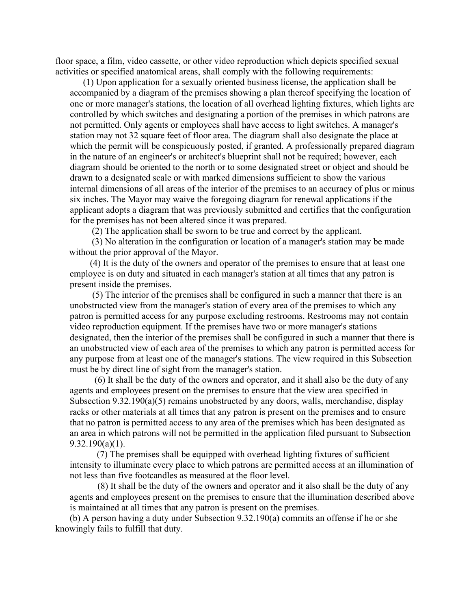floor space, a film, video cassette, or other video reproduction which depicts specified sexual activities or specified anatomical areas, shall comply with the following requirements:

(1) Upon application for a sexually oriented business license, the application shall be accompanied by a diagram of the premises showing a plan thereof specifying the location of one or more manager's stations, the location of all overhead lighting fixtures, which lights are controlled by which switches and designating a portion of the premises in which patrons are not permitted. Only agents or employees shall have access to light switches. A manager's station may not 32 square feet of floor area. The diagram shall also designate the place at which the permit will be conspicuously posted, if granted. A professionally prepared diagram in the nature of an engineer's or architect's blueprint shall not be required; however, each diagram should be oriented to the north or to some designated street or object and should be drawn to a designated scale or with marked dimensions sufficient to show the various internal dimensions of all areas of the interior of the premises to an accuracy of plus or minus six inches. The Mayor may waive the foregoing diagram for renewal applications if the applicant adopts a diagram that was previously submitted and certifies that the configuration for the premises has not been altered since it was prepared.

(2) The application shall be sworn to be true and correct by the applicant.

 (3) No alteration in the configuration or location of a manager's station may be made without the prior approval of the Mayor.

 (4) It is the duty of the owners and operator of the premises to ensure that at least one employee is on duty and situated in each manager's station at all times that any patron is present inside the premises.

(5) The interior of the premises shall be configured in such a manner that there is an unobstructed view from the manager's station of every area of the premises to which any patron is permitted access for any purpose excluding restrooms. Restrooms may not contain video reproduction equipment. If the premises have two or more manager's stations designated, then the interior of the premises shall be configured in such a manner that there is an unobstructed view of each area of the premises to which any patron is permitted access for any purpose from at least one of the manager's stations. The view required in this Subsection must be by direct line of sight from the manager's station.

(6) It shall be the duty of the owners and operator, and it shall also be the duty of any agents and employees present on the premises to ensure that the view area specified in Subsection 9.32.190(a)(5) remains unobstructed by any doors, walls, merchandise, display racks or other materials at all times that any patron is present on the premises and to ensure that no patron is permitted access to any area of the premises which has been designated as an area in which patrons will not be permitted in the application filed pursuant to Subsection 9.32.190(a)(1).

(7) The premises shall be equipped with overhead lighting fixtures of sufficient intensity to illuminate every place to which patrons are permitted access at an illumination of not less than five footcandles as measured at the floor level.

(8) It shall be the duty of the owners and operator and it also shall be the duty of any agents and employees present on the premises to ensure that the illumination described above is maintained at all times that any patron is present on the premises.

(b) A person having a duty under Subsection 9.32.190(a) commits an offense if he or she knowingly fails to fulfill that duty.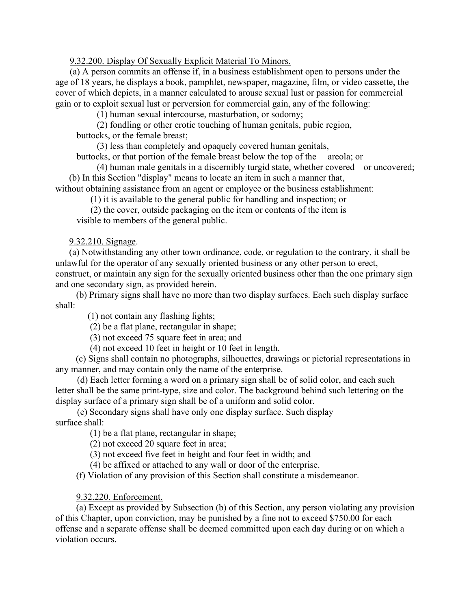## 9.32.200. Display Of Sexually Explicit Material To Minors.

(a) A person commits an offense if, in a business establishment open to persons under the age of 18 years, he displays a book, pamphlet, newspaper, magazine, film, or video cassette, the cover of which depicts, in a manner calculated to arouse sexual lust or passion for commercial gain or to exploit sexual lust or perversion for commercial gain, any of the following:

(1) human sexual intercourse, masturbation, or sodomy;

(2) fondling or other erotic touching of human genitals, pubic region,

buttocks, or the female breast;

(3) less than completely and opaquely covered human genitals,

buttocks, or that portion of the female breast below the top of the areola; or

(4) human male genitals in a discernibly turgid state, whether covered or uncovered; (b) In this Section "display" means to locate an item in such a manner that,

without obtaining assistance from an agent or employee or the business establishment:

(1) it is available to the general public for handling and inspection; or

 (2) the cover, outside packaging on the item or contents of the item is visible to members of the general public.

## 9.32.210. Signage.

(a) Notwithstanding any other town ordinance, code, or regulation to the contrary, it shall be unlawful for the operator of any sexually oriented business or any other person to erect, construct, or maintain any sign for the sexually oriented business other than the one primary sign and one secondary sign, as provided herein.

(b) Primary signs shall have no more than two display surfaces. Each such display surface shall:

(1) not contain any flashing lights;

(2) be a flat plane, rectangular in shape;

(3) not exceed 75 square feet in area; and

(4) not exceed 10 feet in height or 10 feet in length.

(c) Signs shall contain no photographs, silhouettes, drawings or pictorial representations in any manner, and may contain only the name of the enterprise.

(d) Each letter forming a word on a primary sign shall be of solid color, and each such letter shall be the same print-type, size and color. The background behind such lettering on the display surface of a primary sign shall be of a uniform and solid color.

(e) Secondary signs shall have only one display surface. Such display surface shall:

(1) be a flat plane, rectangular in shape;

(2) not exceed 20 square feet in area;

(3) not exceed five feet in height and four feet in width; and

(4) be affixed or attached to any wall or door of the enterprise.

(f) Violation of any provision of this Section shall constitute a misdemeanor.

9.32.220. Enforcement.

(a) Except as provided by Subsection (b) of this Section, any person violating any provision of this Chapter, upon conviction, may be punished by a fine not to exceed \$750.00 for each offense and a separate offense shall be deemed committed upon each day during or on which a violation occurs.